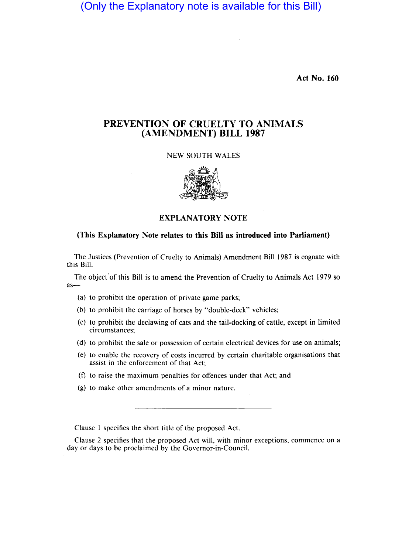(Only the Explanatory note is available for this Bill)

Act No. 160

## PREVENTION OF CRUELTY TO ANIMALS (AMENDMENT) BILL 1987

## NEW SOUTH WALES



EXPLANATORY NOTE

## (This Explanatory Note relates to this Bill as introduced into Parliament)

The Justices (Prevention of Cruelty to Animals) Amendment Bill 1987 is cognate with this Bill.

The object' of this Bill is to amend the Prevention of Cruelty to Animals Act 1979 so  $as-$ 

- (a) to prohibit the operation of private game parks;
- (b) to prohibit the carriage of horses by "double-deck" vehicles;
- (c) to prohibit the declawing of cats and the tail-docking of cattle, except in limited circumstances;
- (d) to prohibit the sale or possession of certain electrical devices for use on animals;
- (e) to enable the recovery of costs incurred by certain charitable organisations that assist in the enforcement of that Act;
- (f) to raise the maximum penalties for offences under that Act; and
- (g) to make other amendments of a minor nature.

Clause I specifies the short title of the proposed Act.

Clause 2 specifies that the proposed Act will, with minor exceptions, commence on a day or days to be proclaimed by the Governor-in-Council.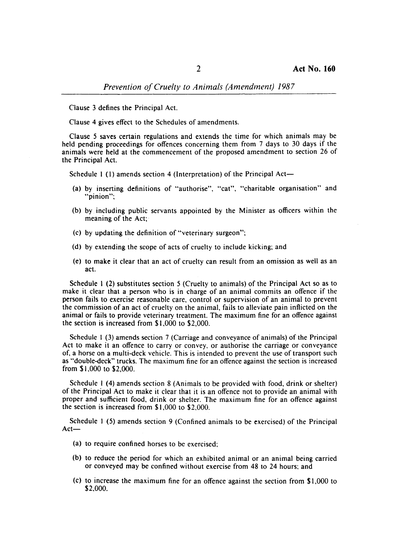*Prevention of Cruelty to Animals (Amendment) 1987* 

Clause 3 defines the Principal Act.

Clause 4 gives effect to the Schedules of amendments.

Clause 5 saves certain regulations and extends the time for which animals may be held pending proceedings for offences concerning them from 7 days to 30 days if the animals were held at the commencement of the proposed amendment to section 26 of the Principal Act.

Schedule 1 (1) amends section 4 (Interpretation) of the Principal Act-

- (a) by inserting definitions of "authorise", "cat", "charitable organisation" and "pinion";
- (b) by including public servants appointed by the Minister as officers within the meaning of the Act;
- (c) by updating the definition of "veterinary surgeon";
- (d) by extending the scope of acts of cruelty to include kicking; and
- (e) to make it clear that an act of cruelty can result from an omission as well as an act.

Schedule 1 (2) substitutes section 5 (Cruelty to animals) of the Principal Act so as to make it clear that a person who is in charge of an animal commits an offence if the person fails to exercise reasonable care, control or supervision of an animal to prevent the commission of an act of cruelty on the animal, fails to alleviate pain inflicted on the animal or fails to provide veterinary treatment. The maximum fine for an offence against the section is increased from \$1,000 to \$2,000.

Schedule I (3) amends section 7 (Carriage and conveyance of animals) of the Principal Act to make it an offence to carry or convey. or authorise the carriage or conveyance of, a horse on a multi-deck vehicle. This is intended to prevent the use of transport such as "double-deck" trucks. The maximum fine for an offence against the section is increased from \$1,000 to \$2,000.

Schedule I (4) amends section 8 (Animals to be provided with food, drink or shelter) of the Principal Act to make it clear that it is an offence not to provide an animal with proper and sufficient food, drink or shelter. The maximum fine for an offence against the section is increased from \$1,000 to \$2,000.

Schedule I (5) amends section 9 (Confined animals to be exercised) of the Principal  $Act-$ 

- (a) to require confined horses to be exercised;
- (b) to reduce the period for which an exhibited animal or an animal being carried or conveyed may be confined without exercise from 48 to 24 hours; and
- (c) to increase the maximum fine for an offence against the section from **\$1,000** to \$2,000.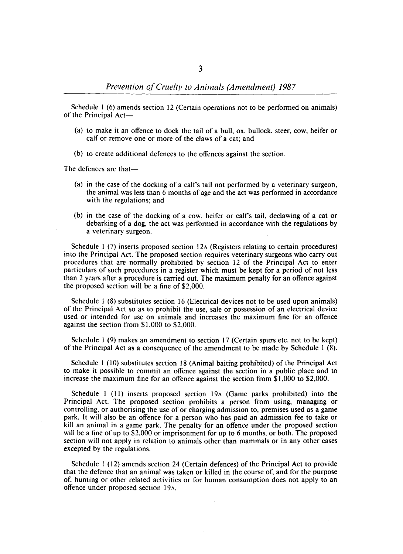Schedule I (6) amends section 12 (Certain operations not to be performed on animals) of the Principal Act-

- (a) to make it an offence to dock the tail of a bull, ox, bullock, steer, cow, heifer or calf or remove one or more of the claws of a cat; and
- (b) to create additional defences to the offences against the section.

The defences are that-

- (a) in the case of the docking of a calfs tail not performed by a veterinary surgeon, the animal was less than 6 months of age and the act was performed in accordance with the regulations; and
- (b) in the case of the docking of a cow, heifer or calfs tail, declawing of a cat or debarking of a dog, the act was performed in accordance with the regulations by a veterinary surgeon.

Schedule 1 (7) inserts proposed section 12A (Registers relating to certain procedures) into the Principal Act. The proposed section requires veterinary surgeons who carry out procedures that are normally prohibited by section 12 of the Principal Act to enter particulars of such procedures in a register which must be kept for a period of not less than 2 years after a procedure is carried out. The maximum penalty for an offence against the proposed section will be a fine of \$2,000.

Schedule I (8) substitutes section 16 (Electrical devices not to be used upon animals) of the Principal Act so as to prohibit the use, sale or possession of an electrical device used or intended for use on animals and increases the maximum fine for an offence against the section from \$1,000 to \$2,000.

Schedule 1  $(9)$  makes an amendment to section 17 (Certain spurs etc. not to be kept) of the Principal Act as a consequence of the amendment to be made by Schedule 1 (8).

Schedule I (10) substitutes section 18 (Animal baiting prohibited) of the Principal Act to make it possible to commit an offence against the section in a public place and to increase the maximum fine for an offence against the section from \$1,000 to \$2,000.

Schedule I (11) inserts proposed section 19A (Game parks prohibited) into the Principal Act. The proposed section prohibits a person from using, managing or controlling, or authorising the use of or charging admission to, premises used as a game park. It will also be an offence for a person who has paid an admission fee to take or kill an animal in a game park. The penalty for an offence under the proposed section will be a fine of up to \$2,000 or imprisonment for up to 6 months, or both. The proposed section will not apply in relation to animals other than mammals or in any other cases excepted by the regulations.

Schedule I (12) amends section 24 (Certain defences) of the Principal Act to provide that the defence that an animal was taken or killed in the course of, and for the purpose of, hunting or other related activities or for human consumption does not apply to an offence under proposed section 19A.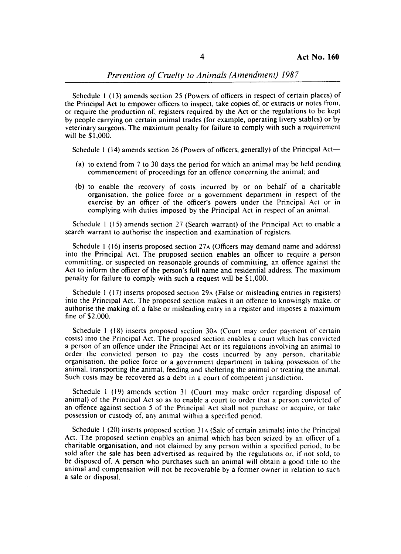*Prevention o/Cruelty to Animals (Amendment) 1987* 

Schedule I (13) amends section 25 (Powers of officers in respect of certain places) of the Principal Act to empower officers to inspect, take copies of, or extracts or notes from, or require the production of, registers required by the Act or the regulations to be kept by people carrying on certain animal trades (for example, operating livery stables) or by veterinary surgeons. The maximum penalty for failure to comply with such a requirement will be \$1,000.

Schedule 1 (14) amends section 26 (Powers of officers, generally) of the Principal Act-

- (a) to extend from 7 to 30 days the period for which an animal may be held pending commencement of proceedings for an offence concerning the animal; and
- (b) to enable the recovery of costs incurred by or on behalf of a charitable organisation, the police force or a government department in respect of the exercise by an officer of the officer's powers under the Principal Act or in complying with duties imposed by the Principal Act in respect of an animal.

Schedule I (15) amends section 27 (Search warrant) of the Principal Act to enable a search warrant to authorise the inspection and examination of registers.

Schedule 1 (16) inserts proposed section 27A (Officers may demand name and address) into the Principal Act. The proposed section enables an officer to require a person committing, or suspected on reasonable grounds of committing, an offence against the Act to inform the officer of the person's full name and residential address. The maximum penalty for failure to comply with such a request will be \$1,000.

Schedule I (17) inserts proposed section 29A (False or misleading entries in registers) into the Principal Act. The proposed section makes it an offence to knowingly make, or authorise the making of. a false or misleading entry in a register and imposes a maximum fine of \$2,000.

Schedule I (18) inserts proposed section 30A (Court may order payment of certain costs) into the Principal Act. The proposed section enables a court which has convicted a person of an offence under the Principal Act or its regulations involving an animal to order the convicted person to pay the costs incurred by any person. charitable organisation, the police force or a government department in taking possession of the animal, transporting the animal, feeding and sheltering the animal or treating the animal. Such costs may be recovered as a debt in a court of competent jurisdiction.

Schedule I (19) amends section 31 (Court may make order regarding disposal of animal) of the Principal Act so as to enable a court to order that a person convicted of an offence against section 5 of the Principal Act shall not purchase or acquire, or take possession or custody of, any animal within a specified period.

Schedule 1 (20) inserts proposed section  $31A$  (Sale of certain animals) into the Principal Act. The proposed section enables an animal which has been seized by an officer of a charitable organisation, and not claimed by any person within a specified period, to be sold after the sale has been advertised as required by the regulations or, if not sold, to be disposed of. A person who purchases such an animal will obtain a good title to the animal and compensation will not be recoverable by a former owner in relation to such a sale or disposal.